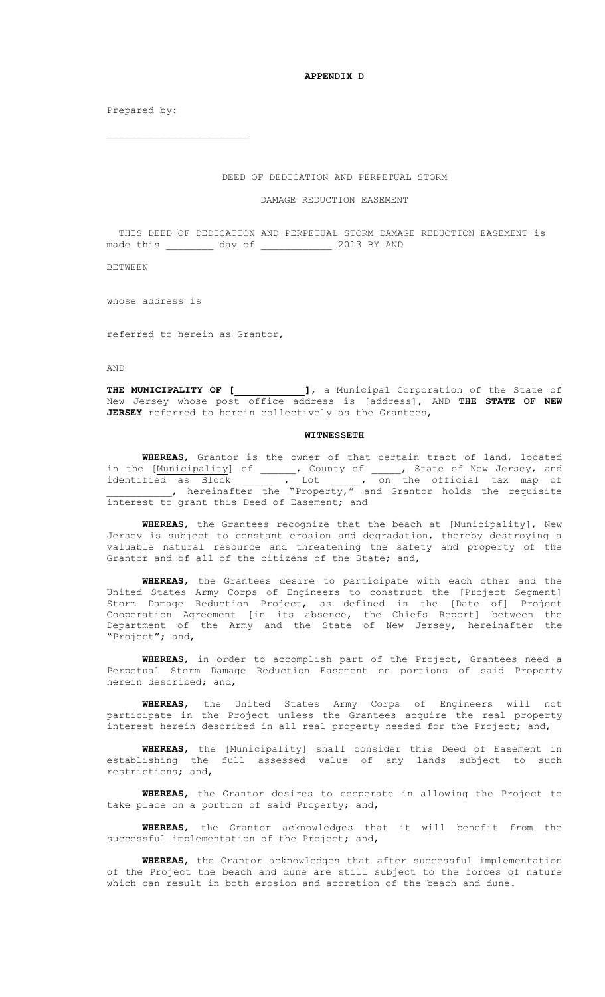**APPENDIX D**

Prepared by:

## DEED OF DEDICATION AND PERPETUAL STORM

## DAMAGE REDUCTION EASEMENT

 THIS DEED OF DEDICATION AND PERPETUAL STORM DAMAGE REDUCTION EASEMENT is made this \_\_\_\_\_\_\_\_\_ day of \_\_\_\_\_\_\_\_\_\_\_\_\_ 2013 BY AND

BETWEEN

whose address is

referred to herein as Grantor,

AND

**THE MUNICIPALITY OF [ ]**, a Municipal Corporation of the State of New Jersey whose post office address is [address], AND **THE STATE OF NEW JERSEY** referred to herein collectively as the Grantees,

## **WITNESSETH**

**WHEREAS**, Grantor is the owner of that certain tract of land, located in the [Municipality] of , County of , State of New Jersey, and identified as Block  $\qquad \qquad$ , Lot  $\qquad \qquad$ , on the official tax map of , hereinafter the "Property," and Grantor holds the requisite interest to grant this Deed of Easement; and

**WHEREAS**, the Grantees recognize that the beach at [Municipality], New Jersey is subject to constant erosion and degradation, thereby destroying a valuable natural resource and threatening the safety and property of the Grantor and of all of the citizens of the State; and,

**WHEREAS**, the Grantees desire to participate with each other and the United States Army Corps of Engineers to construct the [Project Segment] Storm Damage Reduction Project, as defined in the [Date of] Project Cooperation Agreement [in its absence, the Chiefs Report] between the Department of the Army and the State of New Jersey, hereinafter the "Project"; and,

**WHEREAS**, in order to accomplish part of the Project, Grantees need a Perpetual Storm Damage Reduction Easement on portions of said Property herein described; and,

**WHEREAS**, the United States Army Corps of Engineers will not participate in the Project unless the Grantees acquire the real property interest herein described in all real property needed for the Project; and,

**WHEREAS**, the [Municipality] shall consider this Deed of Easement in establishing the full assessed value of any lands subject to such restrictions; and,

**WHEREAS**, the Grantor desires to cooperate in allowing the Project to take place on a portion of said Property; and,

**WHEREAS**, the Grantor acknowledges that it will benefit from the successful implementation of the Project; and,

**WHEREAS**, the Grantor acknowledges that after successful implementation of the Project the beach and dune are still subject to the forces of nature which can result in both erosion and accretion of the beach and dune.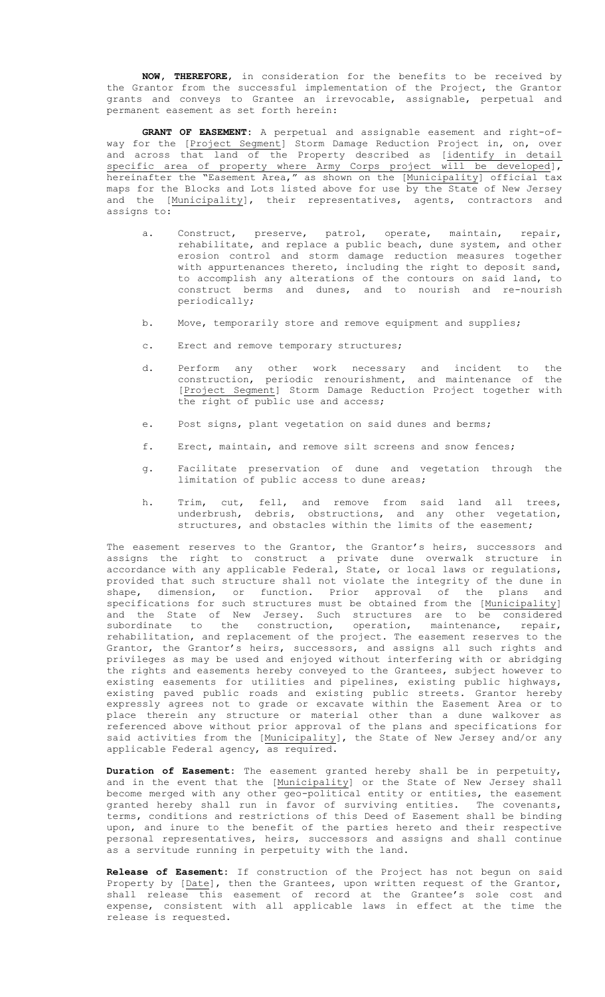**NOW, THEREFORE**, in consideration for the benefits to be received by the Grantor from the successful implementation of the Project, the Grantor grants and conveys to Grantee an irrevocable, assignable, perpetual and permanent easement as set forth herein:

**GRANT OF EASEMENT:** A perpetual and assignable easement and right-ofway for the [Project Segment] Storm Damage Reduction Project in, on, over and across that land of the Property described as [identify in detail specific area of property where Army Corps project will be developed], hereinafter the "Easement Area," as shown on the [Municipality] official tax maps for the Blocks and Lots listed above for use by the State of New Jersey and the [Municipality], their representatives, agents, contractors and assigns to:

- a. Construct, preserve, patrol, operate, maintain, repair, rehabilitate, and replace a public beach, dune system, and other erosion control and storm damage reduction measures together with appurtenances thereto, including the right to deposit sand, to accomplish any alterations of the contours on said land, to construct berms and dunes, and to nourish and re-nourish periodically;
- b. Move, temporarily store and remove equipment and supplies;
- c. Erect and remove temporary structures;
- d. Perform any other work necessary and incident to the construction, periodic renourishment, and maintenance of the [Project Segment] Storm Damage Reduction Project together with the right of public use and access;
- e. Post signs, plant vegetation on said dunes and berms;
- f. Erect, maintain, and remove silt screens and snow fences;
- g. Facilitate preservation of dune and vegetation through the limitation of public access to dune areas;
- h. Trim, cut, fell, and remove from said land all trees, underbrush, debris, obstructions, and any other vegetation, structures, and obstacles within the limits of the easement;

The easement reserves to the Grantor, the Grantor's heirs, successors and assigns the right to construct a private dune overwalk structure in accordance with any applicable Federal, State, or local laws or regulations, provided that such structure shall not violate the integrity of the dune in shape, dimension, or function. Prior approval of the plans and specifications for such structures must be obtained from the [Municipality] and the State of New Jersey. Such structures are to be considered subordinate to the construction, operation, maintenance, repair, rehabilitation, and replacement of the project. The easement reserves to the Grantor, the Grantor's heirs, successors, and assigns all such rights and privileges as may be used and enjoyed without interfering with or abridging the rights and easements hereby conveyed to the Grantees, subject however to existing easements for utilities and pipelines, existing public highways, existing paved public roads and existing public streets. Grantor hereby expressly agrees not to grade or excavate within the Easement Area or to place therein any structure or material other than a dune walkover as referenced above without prior approval of the plans and specifications for said activities from the [Municipality], the State of New Jersey and/or any applicable Federal agency, as required.

**Duration of Easement:** The easement granted hereby shall be in perpetuity, and in the event that the [Municipality] or the State of New Jersey shall become merged with any other geo-political entity or entities, the easement granted hereby shall run in favor of surviving entities. The covenants, terms, conditions and restrictions of this Deed of Easement shall be binding upon, and inure to the benefit of the parties hereto and their respective personal representatives, heirs, successors and assigns and shall continue as a servitude running in perpetuity with the land.

**Release of Easement:** If construction of the Project has not begun on said Property by [Date], then the Grantees, upon written request of the Grantor, shall release this easement of record at the Grantee's sole cost and expense, consistent with all applicable laws in effect at the time the release is requested.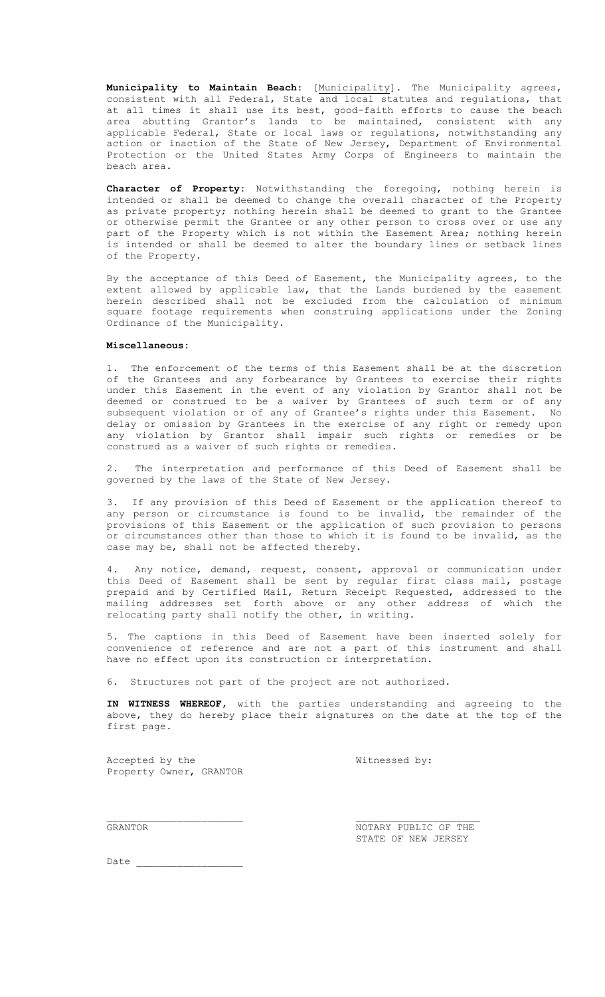**Municipality to Maintain Beach**: [Municipality]. The Municipality agrees, consistent with all Federal, State and local statutes and regulations, that at all times it shall use its best, good-faith efforts to cause the beach area abutting Grantor's lands to be maintained, consistent with any applicable Federal, State or local laws or regulations, notwithstanding any action or inaction of the State of New Jersey, Department of Environmental Protection or the United States Army Corps of Engineers to maintain the beach area.

**Character of Property:** Notwithstanding the foregoing, nothing herein is intended or shall be deemed to change the overall character of the Property as private property; nothing herein shall be deemed to grant to the Grantee or otherwise permit the Grantee or any other person to cross over or use any part of the Property which is not within the Easement Area; nothing herein is intended or shall be deemed to alter the boundary lines or setback lines of the Property.

By the acceptance of this Deed of Easement, the Municipality agrees, to the extent allowed by applicable law, that the Lands burdened by the easement herein described shall not be excluded from the calculation of minimum square footage requirements when construing applications under the Zoning Ordinance of the Municipality.

## **Miscellaneous:**

1. The enforcement of the terms of this Easement shall be at the discretion of the Grantees and any forbearance by Grantees to exercise their rights under this Easement in the event of any violation by Grantor shall not be deemed or construed to be a waiver by Grantees of such term or of any subsequent violation or of any of Grantee's rights under this Easement. No delay or omission by Grantees in the exercise of any right or remedy upon any violation by Grantor shall impair such rights or remedies or be construed as a waiver of such rights or remedies.

2. The interpretation and performance of this Deed of Easement shall be governed by the laws of the State of New Jersey.

3. If any provision of this Deed of Easement or the application thereof to any person or circumstance is found to be invalid, the remainder of the provisions of this Easement or the application of such provision to persons or circumstances other than those to which it is found to be invalid, as the case may be, shall not be affected thereby.

4. Any notice, demand, request, consent, approval or communication under this Deed of Easement shall be sent by regular first class mail, postage prepaid and by Certified Mail, Return Receipt Requested, addressed to the mailing addresses set forth above or any other address of which the relocating party shall notify the other, in writing.

5. The captions in this Deed of Easement have been inserted solely for convenience of reference and are not a part of this instrument and shall have no effect upon its construction or interpretation.

6. Structures not part of the project are not authorized.

**IN WITNESS WHEREOF,** with the parties understanding and agreeing to the above, they do hereby place their signatures on the date at the top of the first page.

Accepted by the  $W:$ Property Owner, GRANTOR

GRANTOR **NOTARY PUBLIC OF THE** STATE OF NEW JERSEY

Date  $\overline{\phantom{a}}$